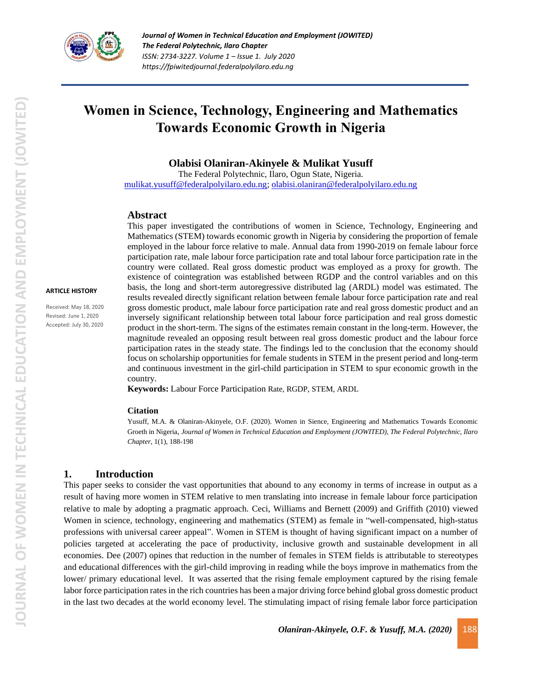

**ARTICLE HISTORY** Received: May 18, 2020 Revised: June 1, 2020 Accepted: July 30, 2020 *Journal of Women in Technical Education and Employment (JOWITED) The Federal Polytechnic, Ilaro Chapter ISSN: 2734-3227. Volume 1 – Issue 1. July 2020 https://fpiwitedjournal.federalpolyilaro.edu.ng*

# **Women in Science, Technology, Engineering and Mathematics Towards Economic Growth in Nigeria**

**Olabisi Olaniran-Akinyele & Mulikat Yusuff**

The Federal Polytechnic, Ilaro, Ogun State, Nigeria. [mulikat.yusuff@federalpolyilaro.edu.ng;](mailto:mulikat.yusuff@federalpolyilaro.edu.ng) [olabisi.olaniran@federalpolyilaro.edu.ng](mailto:olabisi.olaniran@federalpolyilaro.edu.ng)

#### **Abstract**

Mathematics (STEM) towards economic growth in Nigeria by considering the proportion of female employed in the labour force relative to male. Annual data from 1990-2019 on female labour force participation rate, male labour force participation rate and total labour force participation rate in the country were collated. Real gross domestic product was employed as a proxy for growth. The existence of cointegration was established between RGDP and the control variables and on this basis, the long and short-term autoregressive distributed lag (ARDL) model was estimated. The results revealed directly significant relation between female labour force participation rate and real gross domestic product, male labour force participation rate and real gross domestic product and an inversely significant relationship between total labour force participation and real gross domestic product in the short-term. The signs of the estimates remain constant in the long-term. However, the magnitude revealed an opposing result between real gross domestic product and the labour force participation rates in the steady state. The findings led to the conclusion that the economy should focus on scholarship opportunities for female students in STEM in the present period and long-term and continuous investment in the girl-child participation in STEM to spur economic growth in the country.

This paper investigated the contributions of women in Science, Technology, Engineering and

**Keywords:** Labour Force Participation Rate, RGDP, STEM, ARDL

#### **Citation**

Yusuff, M.A. & Olaniran-Akinyele, O.F. (2020). Women in Sience, Engineering and Mathematics Towards Economic Groeth in Nigeria, *Journal of Women in Technical Education and Employment (JOWITED), The Federal Polytechnic, Ilaro Chapter*, 1(1), 188-198

#### **1. Introduction**

This paper seeks to consider the vast opportunities that abound to any economy in terms of increase in output as a result of having more women in STEM relative to men translating into increase in female labour force participation relative to male by adopting a pragmatic approach. Ceci, Williams and Bernett (2009) and Griffith (2010) viewed Women in science, technology, engineering and mathematics (STEM) as female in "well-compensated, high-status professions with universal career appeal". Women in STEM is thought of having significant impact on a number of policies targeted at accelerating the pace of productivity, inclusive growth and sustainable development in all economies. Dee (2007) opines that reduction in the number of females in STEM fields is attributable to stereotypes and educational differences with the girl-child improving in reading while the boys improve in mathematics from the lower/ primary educational level. It was asserted that the rising female employment captured by the rising female labor force participation rates in the rich countries has been a major driving force behind global gross domestic product in the last two decades at the world economy level. The stimulating impact of rising female labor force participation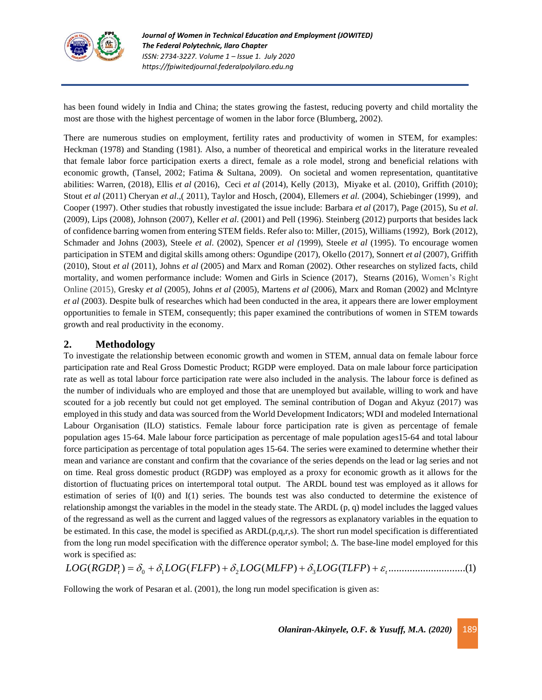

has been found widely in India and China; the states growing the fastest, reducing poverty and child mortality the most are those with the highest percentage of women in the labor force (Blumberg, 2002).

There are numerous studies on employment, fertility rates and productivity of women in STEM, for examples: Heckman (1978) and Standing (1981). Also, a number of theoretical and empirical works in the literature revealed that female labor force participation exerts a direct, female as a role model, strong and beneficial relations with economic growth, (Tansel, 2002; Fatima & Sultana, 2009). On societal and women representation, quantitative abilities: Warren, (2018), Ellis *et al* (2016), Ceci *et al* (2014), Kelly (2013), Miyake et al. (2010), Griffith (2010); Stout *et al* (2011) Cheryan *et al*.,( 2011), Taylor and Hosch, (2004), Ellemers *et al.* (2004), Schiebinger (1999), and Cooper (1997). Other studies that robustly investigated the issue include: Barbara *et al* (2017), Page (2015), Su *et al*. (2009), Lips (2008), Johnson (2007), Keller *et al*. (2001) and Pell (1996). Steinberg (2012) purports that besides lack of confidence barring women from entering STEM fields. Refer also to: Miller, (2015), Williams (1992), Bork (2012), Schmader and Johns (2003), Steele *et al*. (2002), Spencer *et al (*1999), Steele *et al* (1995). To encourage women participation in STEM and digital skills among others: Ogundipe (2017), Okello (2017), Sonnert *et al* (2007), Griffith (2010), Stout *et al* (2011), Johns *et al* (2005) and Marx and Roman (2002). Other researches on stylized facts, child mortality, and women performance include: Women and Girls in Science (2017), Stearns (2016), Women's Right Online (2015), Gresky *et al* (2005), Johns *et al* (2005), Martens *et al* (2006), Marx and Roman (2002) and Mclntyre *et al* (2003). Despite bulk of researches which had been conducted in the area, it appears there are lower employment opportunities to female in STEM, consequently; this paper examined the contributions of women in STEM towards growth and real productivity in the economy.

## **2. Methodology**

To investigate the relationship between economic growth and women in STEM, annual data on female labour force participation rate and Real Gross Domestic Product; RGDP were employed. Data on male labour force participation rate as well as total labour force participation rate were also included in the analysis. The labour force is defined as the number of individuals who are employed and those that are unemployed but available, willing to work and have scouted for a job recently but could not get employed. The seminal contribution of Dogan and Akyuz (2017) was employed in this study and data was sourced from the World Development Indicators; WDI and modeled International Labour Organisation (ILO) statistics. Female labour force participation rate is given as percentage of female population ages 15-64. Male labour force participation as percentage of male population ages15-64 and total labour force participation as percentage of total population ages 15-64. The series were examined to determine whether their mean and variance are constant and confirm that the covariance of the series depends on the lead or lag series and not on time. Real gross domestic product (RGDP) was employed as a proxy for economic growth as it allows for the distortion of fluctuating prices on intertemporal total output. The ARDL bound test was employed as it allows for estimation of series of I(0) and I(1) series. The bounds test was also conducted to determine the existence of relationship amongst the variables in the model in the steady state. The ARDL (p, q) model includes the lagged values of the regressand as well as the current and lagged values of the regressors as explanatory variables in the equation to be estimated. In this case, the model is specified as  $ARDL(p,q,r,s)$ . The short run model specification is differentiated from the long run model specification with the difference operator symbol; Δ. The base-line model employed for this work is specified as:

$$
LOG(RGDPi) = \delta0 + \delta1 LOG(FLFP) + \delta2LOG(MLFP) + \delta3LOG(TLFP) + \varepsiloni.................(1)
$$

Following the work of Pesaran et al. (2001), the long run model specification is given as: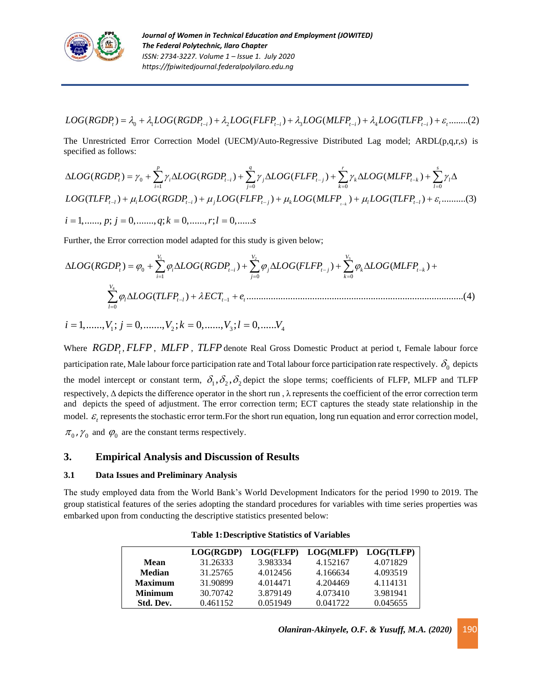

 $LOG(RGDP_t) = \lambda_0 + \lambda_1 LOG(RGDP_{t-i}) + \lambda_2 LOG(FLFP_{t-i}) + \lambda_3 LOG(MLFP_{t-i}) + \lambda_4 LOG(TLFP_{t-i}) + \varepsilon_1........(2)$ 

The Unrestricted Error Correction Model (UECM)/Auto-Regressive Distributed Lag model; ARDL(p,q,r,s) is specified as follows:

$$
\Delta LOG(RGDP_t) = \gamma_0 + \sum_{i=1}^p \gamma_i \Delta LOG(RGDP_{t-i}) + \sum_{j=0}^q \gamma_j \Delta LOG(FLFP_{t-j}) + \sum_{k=0}^r \gamma_k \Delta LOG(MLFP_{t-k}) + \sum_{l=0}^s \gamma_l \Delta
$$
  
\nLOG(TLFP\_{t-l}) + \mu\_i LOG(RGDP\_{t-i}) + \mu\_j LOG(FLFP\_{t-j}) + \mu\_k LOG(MLFP\_{t-k}) + \mu\_l LOG(TLFP\_{t-l}) + \varepsilon\_t \dots \dots \dots (3)  
\n $i = 1, \dots, p; j = 0, \dots, q; k = 0, \dots, r; l = 0, \dots, s$ 

Further, the Error correction model adapted for this study is given below;

$$
\Delta LOG(RGDP_t) = \varphi_0 + \sum_{i=1}^{V_1} \varphi_i \Delta LOG(RGDP_{t-i}) + \sum_{j=0}^{V_2} \varphi_j \Delta LOG(FLFP_{t-j}) + \sum_{k=0}^{V_3} \varphi_k \Delta LOG(MLFP_{t-k}) + \sum_{l=0}^{V_4} \varphi_l \Delta LOG(TLFP_{t-l}) + \lambda ECT_{t-1} + e_t
$$
 (4)

 $i = 1, \ldots, V_1; j = 0, \ldots, V_2; k = 0, \ldots, V_3; l = 0, \ldots, V_4$ 

Where *RGDP<sub>t</sub>*, *FLFP*, *MLFP*, *TLFP* denote Real Gross Domestic Product at period t, Female labour force participation rate, Male labour force participation rate and Total labour force participation rate respectively.  $\delta_0$  depicts the model intercept or constant term,  $\delta_1, \delta_2, \delta_2$  depict the slope terms; coefficients of FLFP, MLFP and TLFP respectively, Δ depicts the difference operator in the short run , λ represents the coefficient of the error correction term and depicts the speed of adjustment. The error correction term; ECT captures the steady state relationship in the model.  $\varepsilon$ <sub>c</sub> represents the stochastic error term. For the short run equation, long run equation and error correction model,  $\pi_0$ ,  $\gamma_0$  and  $\varphi_0$  are the constant terms respectively.

## **3. Empirical Analysis and Discussion of Results**

#### **3.1 Data Issues and Preliminary Analysis**

The study employed data from the World Bank's World Development Indicators for the period 1990 to 2019. The group statistical features of the series adopting the standard procedures for variables with time series properties was embarked upon from conducting the descriptive statistics presented below:

|                | LOG(RGDP) | LOG(FLFP) | LOG(MLFP) | LOG(TLFP) |
|----------------|-----------|-----------|-----------|-----------|
| Mean           | 31.26333  | 3.983334  | 4.152167  | 4.071829  |
| <b>Median</b>  | 31.25765  | 4.012456  | 4.166634  | 4.093519  |
| <b>Maximum</b> | 31.90899  | 4.014471  | 4.204469  | 4.114131  |
| <b>Minimum</b> | 30.70742  | 3.879149  | 4.073410  | 3.981941  |
| Std. Dev.      | 0.461152  | 0.051949  | 0.041722  | 0.045655  |

**Table 1:Descriptive Statistics of Variables**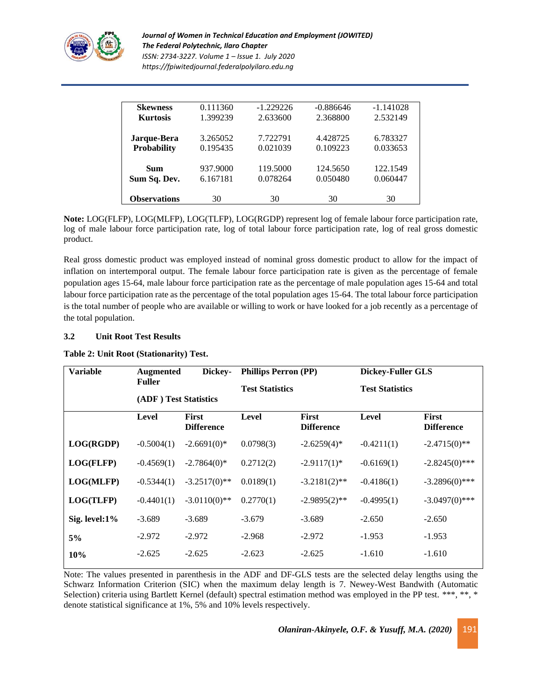

*Journal of Women in Technical Education and Employment (JOWITED) The Federal Polytechnic, Ilaro Chapter ISSN: 2734-3227. Volume 1 – Issue 1. July 2020 https://fpiwitedjournal.federalpolyilaro.edu.ng*

| <b>Skewness</b>     | 0.111360 | $-1.229226$ | $-0.886646$ | $-1.141028$ |
|---------------------|----------|-------------|-------------|-------------|
| <b>Kurtosis</b>     | 1.399239 | 2.633600    | 2.368800    | 2.532149    |
|                     |          |             |             |             |
| Jarque-Bera         | 3.265052 | 7.722791    | 4.428725    | 6.783327    |
| <b>Probability</b>  | 0.195435 | 0.021039    | 0.109223    | 0.033653    |
|                     |          |             |             |             |
| <b>Sum</b>          | 937.9000 | 119.5000    | 124.5650    | 122.1549    |
| Sum Sq. Dev.        | 6.167181 | 0.078264    | 0.050480    | 0.060447    |
|                     |          |             |             |             |
| <b>Observations</b> | 30       | 30          | 30          | 30          |

**Note:** LOG(FLFP), LOG(MLFP), LOG(TLFP), LOG(RGDP) represent log of female labour force participation rate, log of male labour force participation rate, log of total labour force participation rate, log of real gross domestic product.

Real gross domestic product was employed instead of nominal gross domestic product to allow for the impact of inflation on intertemporal output. The female labour force participation rate is given as the percentage of female population ages 15-64, male labour force participation rate as the percentage of male population ages 15-64 and total labour force participation rate as the percentage of the total population ages 15-64. The total labour force participation is the total number of people who are available or willing to work or have looked for a job recently as a percentage of the total population.

#### **3.2 Unit Root Test Results**

| Table 2: Unit Root (Stationarity) Test. |  |  |  |  |  |
|-----------------------------------------|--|--|--|--|--|
|-----------------------------------------|--|--|--|--|--|

| <b>Variable</b> | <b>Augmented</b><br>Dickey-<br><b>Fuller</b> |                                   | <b>Phillips Perron (PP)</b> |                            | <b>Dickey-Fuller GLS</b> |                            |
|-----------------|----------------------------------------------|-----------------------------------|-----------------------------|----------------------------|--------------------------|----------------------------|
|                 |                                              |                                   | <b>Test Statistics</b>      |                            | <b>Test Statistics</b>   |                            |
|                 | (ADF) Test Statistics                        |                                   |                             |                            |                          |                            |
|                 | Level                                        | <b>First</b><br><b>Difference</b> | Level                       | First<br><b>Difference</b> | <b>Level</b>             | First<br><b>Difference</b> |
| LOG(RGDP)       | $-0.5004(1)$                                 | $-2.6691(0)*$                     | 0.0798(3)                   | $-2.6259(4)$ *             | $-0.4211(1)$             | $-2.4715(0)$ **            |
| LOG(FLFP)       | $-0.4569(1)$                                 | $-2.7864(0)$ *                    | 0.2712(2)                   | $-2.9117(1)$ *             | $-0.6169(1)$             | $-2.8245(0)$ ***           |
| LOG(MLFP)       | $-0.5344(1)$                                 | $-3.2517(0)$ **                   | 0.0189(1)                   | $-3.2181(2)$ **            | $-0.4186(1)$             | $-3.2896(0)$ ***           |
| LOG(TLFP)       | $-0.4401(1)$                                 | $-3.0110(0)$ **                   | 0.2770(1)                   | $-2.9895(2)$ **            | $-0.4995(1)$             | $-3.0497(0)$ ***           |
| Sig. level:1%   | $-3.689$                                     | $-3.689$                          | $-3.679$                    | $-3.689$                   | $-2.650$                 | $-2.650$                   |
| 5%              | $-2.972$                                     | $-2.972$                          | $-2.968$                    | $-2.972$                   | $-1.953$                 | $-1.953$                   |
| 10%             | $-2.625$                                     | $-2.625$                          | $-2.623$                    | $-2.625$                   | $-1.610$                 | $-1.610$                   |

Note: The values presented in parenthesis in the ADF and DF-GLS tests are the selected delay lengths using the Schwarz Information Criterion (SIC) when the maximum delay length is 7. Newey-West Bandwith (Automatic Selection) criteria using Bartlett Kernel (default) spectral estimation method was employed in the PP test. \*\*\*, \*\*, \* denote statistical significance at 1%, 5% and 10% levels respectively.

*Olaniran-Akinyele, O.F. & Yusuff, M.A. (2020)* 191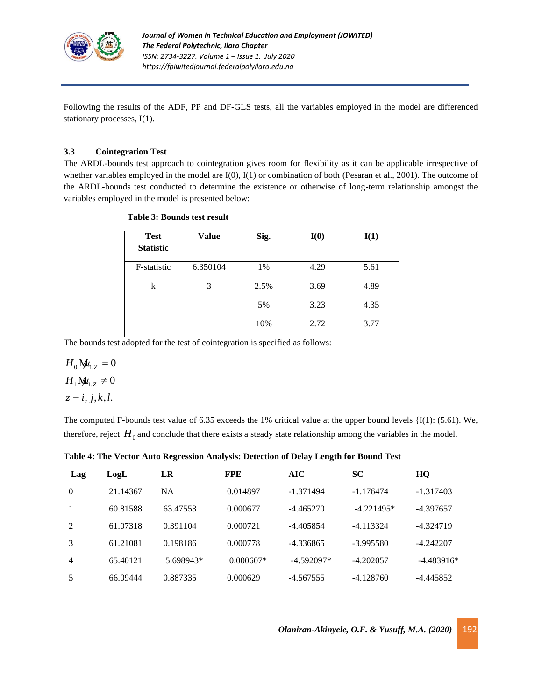

Following the results of the ADF, PP and DF-GLS tests, all the variables employed in the model are differenced stationary processes, I(1).

### **3.3 Cointegration Test**

The ARDL-bounds test approach to cointegration gives room for flexibility as it can be applicable irrespective of whether variables employed in the model are I(0), I(1) or combination of both (Pesaran et al., 2001). The outcome of the ARDL-bounds test conducted to determine the existence or otherwise of long-term relationship amongst the variables employed in the model is presented below:

| <b>Test</b><br><b>Statistic</b> | Value    | Sig. | I(0) | I(1) |
|---------------------------------|----------|------|------|------|
| F-statistic                     | 6.350104 | 1%   | 4.29 | 5.61 |
| k                               | 3        | 2.5% | 3.69 | 4.89 |
|                                 |          | 5%   | 3.23 | 4.35 |
|                                 |          | 10%  | 2.72 | 3.77 |

#### **Table 3: Bounds test result**

The bounds test adopted for the test of cointegration is specified as follows:

$$
H_0 \mathbf{M}_{1,Z} = 0
$$
  
\n
$$
H_1 \mathbf{M}_{1,Z} \neq 0
$$
  
\n
$$
z = i, j, k, l.
$$

The computed F-bounds test value of 6.35 exceeds the 1% critical value at the upper bound levels {I(1): (5.61). We, therefore, reject  $H_0$  and conclude that there exists a steady state relationship among the variables in the model.

**Table 4: The Vector Auto Regression Analysis: Detection of Delay Length for Bound Test**

| Lag            | LogL     | LR        | <b>FPE</b>  | AIC          | <b>SC</b>    | HQ           |
|----------------|----------|-----------|-------------|--------------|--------------|--------------|
| $\theta$       | 21.14367 | <b>NA</b> | 0.014897    | $-1.371494$  | $-1.176474$  | $-1.317403$  |
|                | 60.81588 | 63.47553  | 0.000677    | $-4.465270$  | $-4.221495*$ | $-4.397657$  |
| $\overline{2}$ | 61.07318 | 0.391104  | 0.000721    | $-4.405854$  | $-4.113324$  | $-4.324719$  |
| 3              | 61.21081 | 0.198186  | 0.000778    | $-4.336865$  | $-3.995580$  | $-4.242207$  |
| 4              | 65.40121 | 5.698943* | $0.000607*$ | $-4.592097*$ | $-4.202057$  | $-4.483916*$ |
| 5              | 66.09444 | 0.887335  | 0.000629    | $-4.567555$  | $-4.128760$  | -4.445852    |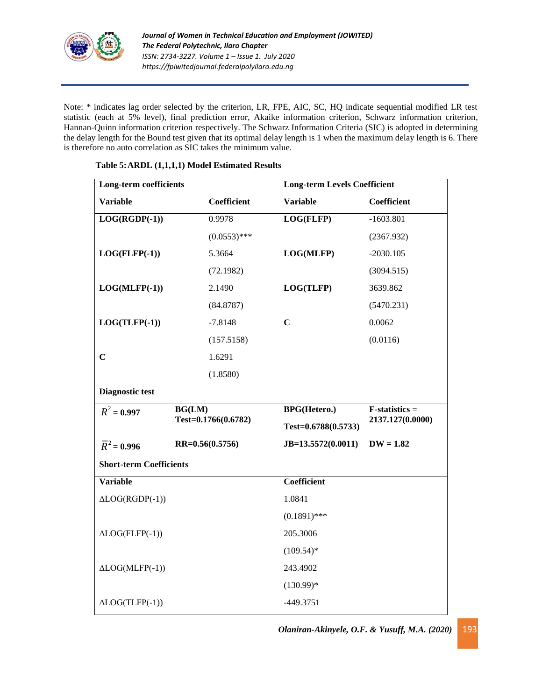

Note: \* indicates lag order selected by the criterion, LR, FPE, AIC, SC, HQ indicate sequential modified LR test statistic (each at 5% level), final prediction error, Akaike information criterion, Schwarz information criterion, Hannan-Quinn information criterion respectively. The Schwarz Information Criteria (SIC) is adopted in determining the delay length for the Bound test given that its optimal delay length is 1 when the maximum delay length is 6. There is therefore no auto correlation as SIC takes the minimum value.

| Long-term coefficients         |                     | <b>Long-term Levels Coefficient</b> |                  |  |
|--------------------------------|---------------------|-------------------------------------|------------------|--|
| <b>Variable</b>                | Coefficient         | <b>Variable</b>                     | Coefficient      |  |
| $LOG(RGDP(-1))$                | 0.9978              | LOG(FLFP)                           | $-1603.801$      |  |
|                                | $(0.0553)$ ***      |                                     | (2367.932)       |  |
| $LOG(FLFP(-1))$                | 5.3664              | LOG(MLFP)                           | $-2030.105$      |  |
|                                | (72.1982)           |                                     | (3094.515)       |  |
| $LOG(MLFP(-1))$                | 2.1490              | LOG(TLFP)                           | 3639.862         |  |
|                                | (84.8787)           |                                     | (5470.231)       |  |
| $LOG(TLFP(-1))$                | $-7.8148$           | $\mathbf C$                         | 0.0062           |  |
|                                | (157.5158)          |                                     | (0.0116)         |  |
| $\overline{C}$                 | 1.6291              |                                     |                  |  |
|                                | (1.8580)            |                                     |                  |  |
| <b>Diagnostic test</b>         |                     |                                     |                  |  |
| $R^2 = 0.997$                  | BG(LM)              | <b>BPG(Hetero.)</b>                 | $F-statistics =$ |  |
|                                | Test=0.1766(0.6782) | Test= $0.6788(0.5733)$              | 2137.127(0.0000) |  |
| $\bar{R}^2 = 0.996$            | $RR=0.56(0.5756)$   | $JB=13.5572(0.0011)$                | $DW = 1.82$      |  |
| <b>Short-term Coefficients</b> |                     |                                     |                  |  |
| <b>Variable</b>                |                     | Coefficient                         |                  |  |
| $\triangle LOG(RGDP(-1))$      |                     | 1.0841                              |                  |  |
|                                |                     | $(0.1891)$ ***                      |                  |  |
| $\triangle LOG(FLFP(-1))$      |                     | 205.3006                            |                  |  |
|                                |                     | $(109.54)$ *                        |                  |  |
| $\triangle LOG(MLFP(-1))$      |                     | 243.4902                            |                  |  |
|                                |                     | $(130.99)*$                         |                  |  |
| $\triangle LOG(TLFP(-1))$      |                     | $-449.3751$                         |                  |  |

### **Table 5:ARDL (1,1,1,1) Model Estimated Results**

*Olaniran-Akinyele, O.F. & Yusuff, M.A. (2020)* 193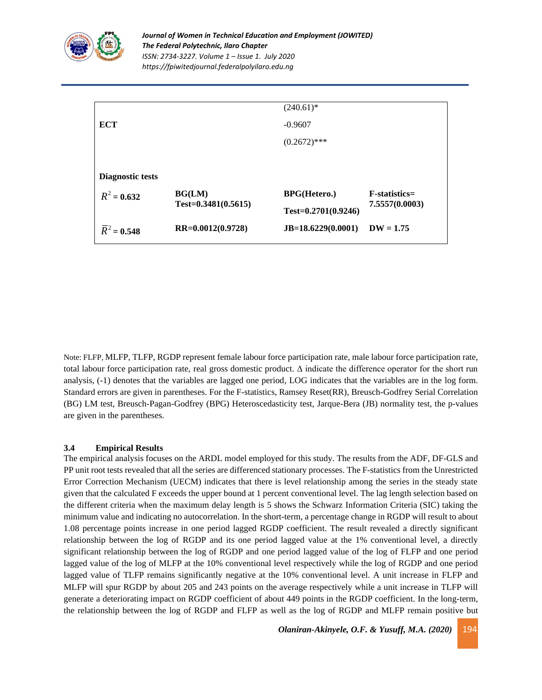

|                          |                         | $(240.61)^*$            |                 |
|--------------------------|-------------------------|-------------------------|-----------------|
| ECT                      |                         | $-0.9607$               |                 |
|                          |                         | $(0.2672)$ ***          |                 |
|                          |                         |                         |                 |
| Diagnostic tests         |                         |                         |                 |
| $R^2 = 0.632$            | BG(LM)                  | <b>BPG(Hetero.)</b>     | $F-statistics=$ |
|                          | $Test = 0.3481(0.5615)$ | $Test = 0.2701(0.9246)$ | 7.5557(0.0003)  |
| $\overline{R}^2 = 0.548$ | RR=0.0012(0.9728)       | $JB=18.6229(0.0001)$    | $DW = 1.75$     |

Note: FLFP, MLFP, TLFP, RGDP represent female labour force participation rate, male labour force participation rate, total labour force participation rate, real gross domestic product. Δ indicate the difference operator for the short run analysis, (-1) denotes that the variables are lagged one period, LOG indicates that the variables are in the log form. Standard errors are given in parentheses. For the F-statistics, Ramsey Reset(RR), Breusch-Godfrey Serial Correlation (BG) LM test, Breusch-Pagan-Godfrey (BPG) Heteroscedasticity test, Jarque-Bera (JB) normality test, the p-values are given in the parentheses.

#### **3.4 Empirical Results**

The empirical analysis focuses on the ARDL model employed for this study. The results from the ADF, DF-GLS and PP unit root tests revealed that all the series are differenced stationary processes. The F-statistics from the Unrestricted Error Correction Mechanism (UECM) indicates that there is level relationship among the series in the steady state given that the calculated F exceeds the upper bound at 1 percent conventional level. The lag length selection based on the different criteria when the maximum delay length is 5 shows the Schwarz Information Criteria (SIC) taking the minimum value and indicating no autocorrelation. In the short-term, a percentage change in RGDP will result to about 1.08 percentage points increase in one period lagged RGDP coefficient. The result revealed a directly significant relationship between the log of RGDP and its one period lagged value at the 1% conventional level, a directly significant relationship between the log of RGDP and one period lagged value of the log of FLFP and one period lagged value of the log of MLFP at the 10% conventional level respectively while the log of RGDP and one period lagged value of TLFP remains significantly negative at the 10% conventional level. A unit increase in FLFP and MLFP will spur RGDP by about 205 and 243 points on the average respectively while a unit increase in TLFP will generate a deteriorating impact on RGDP coefficient of about 449 points in the RGDP coefficient. In the long-term, the relationship between the log of RGDP and FLFP as well as the log of RGDP and MLFP remain positive but

*Olaniran-Akinyele, O.F. & Yusuff, M.A. (2020)* 194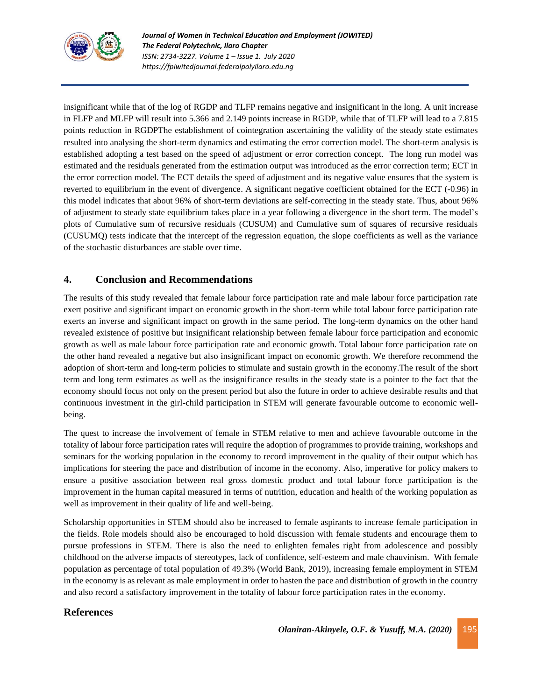

insignificant while that of the log of RGDP and TLFP remains negative and insignificant in the long. A unit increase in FLFP and MLFP will result into 5.366 and 2.149 points increase in RGDP, while that of TLFP will lead to a 7.815 points reduction in RGDPThe establishment of cointegration ascertaining the validity of the steady state estimates resulted into analysing the short-term dynamics and estimating the error correction model. The short-term analysis is established adopting a test based on the speed of adjustment or error correction concept. The long run model was estimated and the residuals generated from the estimation output was introduced as the error correction term; ECT in the error correction model. The ECT details the speed of adjustment and its negative value ensures that the system is reverted to equilibrium in the event of divergence. A significant negative coefficient obtained for the ECT (-0.96) in this model indicates that about 96% of short-term deviations are self-correcting in the steady state. Thus, about 96% of adjustment to steady state equilibrium takes place in a year following a divergence in the short term. The model's plots of Cumulative sum of recursive residuals (CUSUM) and Cumulative sum of squares of recursive residuals (CUSUMQ) tests indicate that the intercept of the regression equation, the slope coefficients as well as the variance of the stochastic disturbances are stable over time.

## **4. Conclusion and Recommendations**

The results of this study revealed that female labour force participation rate and male labour force participation rate exert positive and significant impact on economic growth in the short-term while total labour force participation rate exerts an inverse and significant impact on growth in the same period. The long-term dynamics on the other hand revealed existence of positive but insignificant relationship between female labour force participation and economic growth as well as male labour force participation rate and economic growth. Total labour force participation rate on the other hand revealed a negative but also insignificant impact on economic growth. We therefore recommend the adoption of short-term and long-term policies to stimulate and sustain growth in the economy.The result of the short term and long term estimates as well as the insignificance results in the steady state is a pointer to the fact that the economy should focus not only on the present period but also the future in order to achieve desirable results and that continuous investment in the girl-child participation in STEM will generate favourable outcome to economic wellbeing.

The quest to increase the involvement of female in STEM relative to men and achieve favourable outcome in the totality of labour force participation rates will require the adoption of programmes to provide training, workshops and seminars for the working population in the economy to record improvement in the quality of their output which has implications for steering the pace and distribution of income in the economy. Also, imperative for policy makers to ensure a positive association between real gross domestic product and total labour force participation is the improvement in the human capital measured in terms of nutrition, education and health of the working population as well as improvement in their quality of life and well-being.

Scholarship opportunities in STEM should also be increased to female aspirants to increase female participation in the fields. Role models should also be encouraged to hold discussion with female students and encourage them to pursue professions in STEM. There is also the need to enlighten females right from adolescence and possibly childhood on the adverse impacts of stereotypes, lack of confidence, self-esteem and male chauvinism. With female population as percentage of total population of 49.3% (World Bank, 2019), increasing female employment in STEM in the economy is as relevant as male employment in order to hasten the pace and distribution of growth in the country and also record a satisfactory improvement in the totality of labour force participation rates in the economy.

## **References**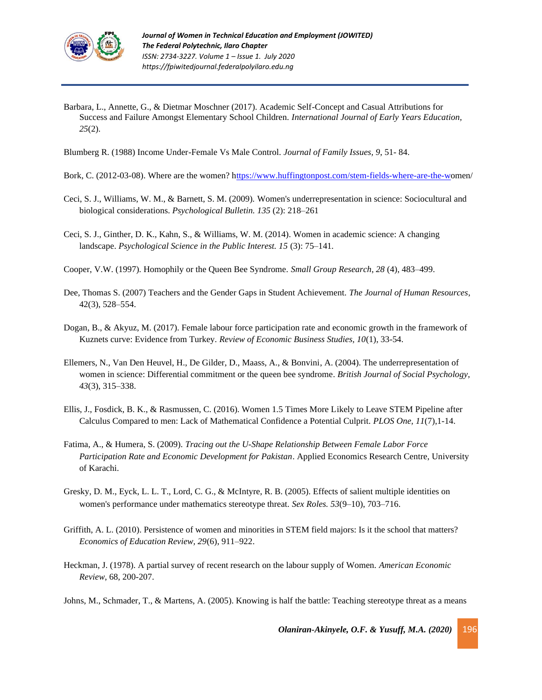

Barbara, L., Annette, G., & Dietmar Moschner (2017). Academic Self-Concept and Casual Attributions for Success and Failure Amongst Elementary School Children. *International Journal of Early Years Education, 25*(2).

Blumberg R. (1988) Income Under-Female Vs Male Control. *Journal of Family Issues, 9*, 51- 84.

- Bork, C. (2012-03-08). Where are the women? [https://www.huffingtonpost.com/stem-fields-where-are-the-wo](ttps://www.huffingtonpost.com/stem-fields-where-are-the-w)men/
- Ceci, S. J., Williams, W. M., & Barnett, S. M. (2009). Women's underrepresentation in science: Sociocultural and biological considerations. *[Psychological Bulletin.](https://en.wikipedia.org/wiki/Psychological_Bulletin) 135* (2): 218–261
- Ceci, S. J., Ginther, D. K., Kahn, S., & Williams, W. M. (2014). Women in academic science: A changing landscape. *Psychological Science in the Public Interest. 15* (3): 75–141*.*
- Cooper, V.W. (1997). Homophily or the Queen Bee Syndrome. *Small Group Research*, *28* (4), 483–499.
- Dee, Thomas S. (2007) Teachers and the Gender Gaps in Student Achievement. *The Journal of Human Resources*, 42(3), 528–554.
- Dogan, B., & Akyuz, M. (2017). Female labour force participation rate and economic growth in the framework of Kuznets curve: Evidence from Turkey. *Review of Economic Business Studies, 10*(1), 33-54.
- Ellemers, N., Van Den Heuvel, H., De Gilder, D., Maass, A., & Bonvini, A. (2004). The underrepresentation of women in science: Differential commitment or the queen bee syndrome*. British Journal of Social Psychology*, *43*(3), 315–338.
- Ellis, J., Fosdick, B. K., & Rasmussen, C. (2016). Women 1.5 Times More Likely to Leave STEM Pipeline after Calculus Compared to men: Lack of Mathematical Confidence a Potential Culprit. *PLOS One, 11*(7),1-14.
- Fatima, A., & Humera, S. (2009). *Tracing out the U-Shape Relationship Between Female Labor Force Participation Rate and Economic Development for Pakistan*. Applied Economics Research Centre, University of Karachi.
- Gresky, D. M., Eyck, L. L. T., Lord, C. G., & McIntyre, R. B. (2005). Effects of salient multiple identities on women's performance under mathematics stereotype threat*. Sex Roles. 53*(9–10), 703–716.
- Griffith, A. L. (2010). Persistence of women and minorities in STEM field majors: Is it the school that matters? *Economics of Education Review, 29*(6), 911–922.
- Heckman, J. (1978). A partial survey of recent research on the labour supply of Women. *American Economic Review*, 68, 200-207.
- Johns, M., Schmader, T., & Martens, A. (2005). Knowing is half the battle: Teaching stereotype threat as a means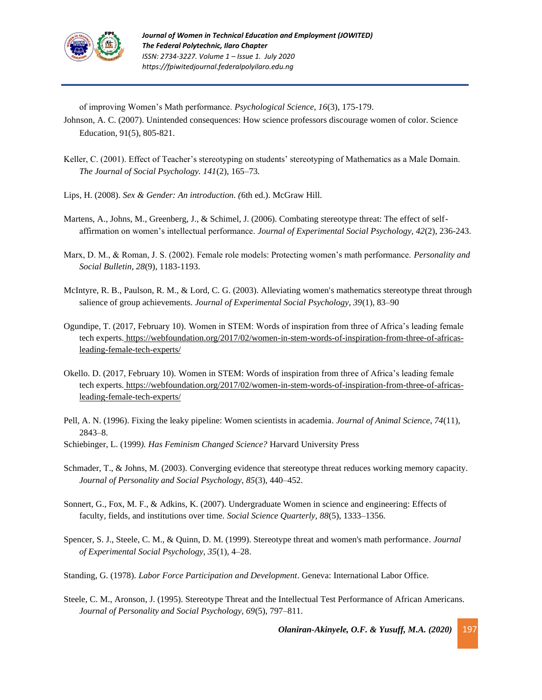

of improving Women's Math performance. *Psychological Science, 16*(3), 175-179.

Johnson, A. C. (2007). Unintended consequences: How science professors discourage women of color. Science Education, 91(5), 805-821.

- Keller, C. (2001). Effect of Teacher's stereotyping on students' stereotyping of Mathematics as a Male Domain.  *The Journal of Social Psychology. 141*(2), 165–73*.*
- Lips, H. (2008). *Sex & Gender: An introduction. (*6th ed.). McGraw Hill.
- Martens, A., Johns, M., Greenberg, J., & Schimel, J. (2006). Combating stereotype threat: The effect of self affirmation on women's intellectual performance. *Journal of Experimental Social Psychology, 42*(2), 236-243.
- Marx, D. M., & Roman, J. S. (2002). Female role models: Protecting women's math performance. *Personality and Social Bulletin, 28*(9), 1183-1193.
- McIntyre, R. B., Paulson, R. M., & Lord, C. G. (2003). Alleviating women's mathematics stereotype threat through salience of group achievements. *Journal of Experimental Social Psychology, 39*(1), 83–90
- Ogundipe, T. (2017, February 10). Women in STEM: Words of inspiration from three of Africa's leading female tech experts. [https://webfoundation.org/2017/02/women-in-stem-words-of-inspiration-from-three-of-africas](https://webfoundation.org/2017/02/women-in-stem-words-of-inspiration-from-three-of-africas-%20%20%20%20%20%20%20%20%20%20%20%20%20%20%20%20%20%20%20%20%20%20%20%20%20%20%20%20%20%20%20%20%20%20%20%20%20%20%20leading-female-tech-experts/)  leading-female-tech-experts/
- Okello. D. (2017, February 10). Women in STEM: Words of inspiration from three of Africa's leading female tech experts. [https://webfoundation.org/2017/02/women-in-stem-words-of-inspiration-from-three-of-africas](https://webfoundation.org/2017/02/women-in-stem-words-of-inspiration-from-three-of-africas-%20%20%20%20%20%20%20%20%20%20%20%20%20%20%20%20%20%20%20%20%20%20%20%20%20%20%20%20%20%20%20%20%20%20%20%20%20%20%20leading-female-tech-experts/)  leading-female-tech-experts/
- Pell, A. N. (1996). Fixing the leaky pipeline: Women scientists in academia*. Journal of Animal Science, 74*(11), 2843–8.
- Schiebinger, L. (1999*). Has Feminism Changed Science?* Harvard University Press
- Schmader, T., & Johns, M. (2003). Converging evidence that stereotype threat reduces working memory capacity*. Journal of Personality and Social Psychology, 85*(3), 440–452.
- Sonnert, G., Fox, M. F., & Adkins, K. (2007). Undergraduate Women in science and engineering: Effects of faculty, fields, and institutions over time. *Social Science Quarterly, 88*(5), 1333–1356.
- Spencer, S. J., Steele, C. M., & Quinn, D. M. (1999). Stereotype threat and women's math performance*. Journal of Experimental Social Psychology, 35*(1), 4–28.
- Standing, G. (1978). *Labor Force Participation and Development*. Geneva: International Labor Office.
- Steele, C. M., Aronson, J. (1995). Stereotype Threat and the Intellectual Test Performance of African Americans.  *Journal of Personality and Social Psychology, 69*(5), 797–811.